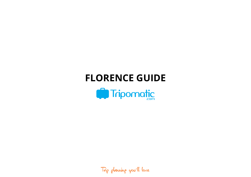# **FLORENCE GUIDE**



Trip planning you'll love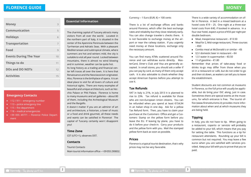| <b>Money</b>                  | 3  |
|-------------------------------|----|
| <b>Communication</b>          | 5  |
| <b>Holidays</b>               | 6  |
| <b>Transportation</b>         | 7  |
| Food                          | 9  |
| <b>Events During The Year</b> | 10 |
| Things to do                  | 11 |
| <b>DOs and DO NOTs</b>        | 12 |
| <b>Activities</b>             | 15 |
|                               |    |

# **Emergency Contacts**

- $\blacksquare$  112 / 911 emergency number
- 113 police emergency line
- 115 fire department
- 118 medical emergencies
- +39 055 49771 Florence Police Department

# **Essential Information**

The charming capital of Tuscany attracts many visitors from all over the world. Located in the northern part of Italy, it is situated in the center of the Apennine Peninsula between the Tyrrhenian and Adriatic Seas. With a pleasant Mediterranean and subtropical climate, where summers are hot and winters mild, the city is suitable to visit all year round. Locked between mountains, there is almost no wind blowing and in summer, weather can be quite hot. Its long history as a trading and financial center left traces all over the town. It is here that Renaissance and the Neoclassicism originated.

Also, Florence is the birthplace of opera. It is an ideal place to visit for all lovers of culture and historical sights. There are many examples of beautiful and unique architecture, such as Vecchio Palace or Pitti Palace. Florence is home to many museums and art galleries – about 80 of them, including the Archeological Museum and the Bargello.

It doesn't matter if you are an admirer of art and architecture, a historian, a lover of music or a food and drink gourmet, all these needs and wants can be satisfied in Florence! The capital of Tuscany certainly won't disappoint you!

# **Time Zone**

CET (UTC+1), observes DST.

# **Contacts**

2

Tourist Contacts Main tourist information office – +39 055 290832.

#### Currency – 1 Euro (EUR,  $\epsilon$ ) = 100 cents

There is a lot of exchange offices and banks around Florence, which offer the best exchange rates and reliability but they close relatively early. You can also change traveler's checks there. It is not favorable to exchange money at the airport or near the railway station. If you urgently need money at these locations, exchange only the necessary amount.

You can find many ATMs scattered around Florence and can withdraw euros directly. MasterCard, Diner's Club and Visa are generally accepted. In small stores, you should ask a seller if you can pay by card, as many of them only accept cash. It is also advisable to check whether they accept American Express before you attempt to use it.

# **Tax Refunds**

VAT in Italy is 21%, in July 2013 it is planned to rise to 23%. Tax refund is available for those who are non-European Union citizens. You can be refunded when you spend at least €154,94 in an Italian shop in one day. Ask for a yellow Tax Refund form. Then, you have to claim your purchase at the Customers' Office and get a Customers' Stamp on the yellow form before you leave the EU. If leaving by plane, you have to do it before your check-in. Carry your products and the yellow form with you. Mail the stamped yellow form back as soon as possible.

# **Prices**

Florence is a typical tourist destination, that's why prices may not be very favorable.

There is a wide variety of accommodation on offer in Florence. A bed in a mixed bedroom at a hostel costs €19 – 25. One night at a three-star hotel costs from €40, if booked in advance. In a four-star hotel, expect a price of €55 per night per double bedroom.

- Meal, Inexpensive restaurant  $£13.50$
- Meal for 2, Mid-range restaurant, Three-courses  $\blacksquare$ – €60
- Combo meal at McDonald's or similar  $\epsilon$ 6  $\mathbf{m}$  .
- $\blacksquare$ 0.5 I domestic beer in restaurant –  $€4$
- 1,5 l water in supermarket €0.50
- $\blacksquare$  1 l of gasoline  $\epsilon$ 1.80

Remember that prices of take-away food or drinks to-go may differ from those when you sit in a restaurant or café, but do not order to go and then sit down, as waiters can tell you to leave the establishment.

Student discounts are not common at museums in Florence, so the full price will usually be applicable, but do bring your ISIC along, just in case. Sometimes there are special events at the museums, for which entrance is free. The tourist office (www.firenzeturismo.it) provides more information about when and at which museums they are being held.

# **Tipping**

3

In Italy, you do not have to tip. When going to a restaurant, 'coperto' or 'servizio' will probably be added to your bill, which means that you pay for setting the table. This functions as a tip for restaurant attendants. Rounding up your bill is common but not required. You may leave a few euros when you are satisfied with services provided. Keep your bill with you to prove that you've paid.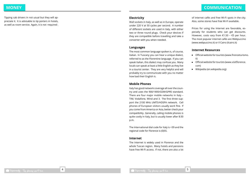Tipping cab drivers in not usual but they will appreciate it. It is advisable to tip porters in hotels, as well as room service. Again, it is not 'required'.

# **Electricity**

Wall sockets in Italy, as well as in Europe, operate under 220 V at 50 cycles per second. A number of different sockets are used in Italy, with either two or three round plugs. Check your devices if they are compatible before travelling and take a converter with you when needed.

#### **Languages**

The most common language spoken is, of course, Italian. In Tuscany you can hear a unique dialect, referred to as the Florentine language. If you can speak Italian, this dialect may confuse you. Many locals can speak at least a little English as they live in a tourist center. They are very helpful and will probably try to communicate with you no matter how bad their English is.

# **Mobile Phones**

Italy has good network coverage all over the country and uses the 900/1800/GSM/GPRS standard. There are four major mobile networks in Italy – TIM, Vodafone, Wind and 3. The first three support the 2100 MHz UMTS/HDSPA network. Cell phones of European visitors usually work fine. If you come from America or Asia, better check your compatibility. Generally, calling mobile phones is quite costly in Italy, but is usually lower after 8:30 p.m.

The international dial code for Italy is +39 and the regional code for Florence is (0)55.

#### **Internet**

The Internet is widely used in Florence and the whole Tuscan region. Many hotels and pensions have free Wi-Fi access. If not, there are also a lot of internet cafés and free Wi-Fi spots in the city. Also, some stores have free Wi-Fi available.

Prices for using the Internet are favorable, especially for students who can get discounts. However, costs vary from  $£1.50 - £5$  per hour. The most popular internet cafés are Webpuccino (www.webpuccino.it) or Il Cairo (ilcairo.it)

#### **Internet Resources**

- Official website for tourists (www.firenzeturismo. it)
- Official website for tourists (www.visitflorence. com)
- Wikipedia (en.wikipedia.org)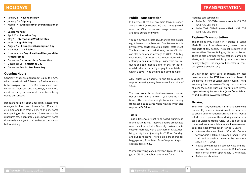- January 1 **New Year**'**s Day**
- January 6 **Epiphany**
- March 17 **Anniversary of the Unification of Italy**
- **Easter Monday**
- April 25 **Liberation Day**
- May 1 **International Workers**' **Day**
- June 2 **Republic Day**
- August 15 **Ferragosto/Assumption Day**
- November 1 **All Saints**
- November 4 **Day of National Unity and the Armed Forces**
- December 8 **Immaculate Conception**
- December 25 **Christmas Day**
- December 26 **St. Stephen**'**s Day**

# **Opening Hours**

Generally, shops are open from 10 a.m. to 1 p.m., when there is a break followed by further opening between 4 p.m. and 8 p.m. But many shops close earlier on Mondays and Saturdays, with most, apart from large international chain stores, being closed on Sundays.

Banks are normally open until 4 p.m. Restaurants open just for lunch and dinner – from 12 a.m. to 2:30 p.m. and then from 7 p.m. to 11 p.m., some not opening on Sundays at all. The most popular museums stay open until 7 p.m., however, some close really early (at 2 p.m.) so better check it out before visiting!

# **Public Transportation**

In Florence, there are two main town bus operators – ATAF (www.ataf.net) and Li-nea (www.li -nea.com) Older buses are orange, newer ones are deep purple and white.

You can buy bus tickets at authorized sale points, e.g. tobacco shops, bars etc. One 90-minute ride (in which you can take multiple buses) costs €1.20. The bus drivers also sell tickets, but for €2. You can also send a text message to 4880105 to buy your ticket. You must validate your ticket when entering a bus immediately. Inspectors are frequent and can impose a fine of €45 for lack of a valid ticket – that's if you pay immediately or within 5 days, if not, the fine can climb to €240!

ATAF buses also operate to and from Vespucci Airport departing every 30 minutes for a price of €4.50.

You can also use the local railways to reach a number of train stations in town if you have the ATAF ticket. There is also a single tram line running from Scandicci to Santa Maria Novella which also requires ATAF tickets.

# **Taxis**

Taxis in Florence are not to be hailed, but instead found at taxi ranks. These taxi ranks are located near main tourist hubs. Generally, taxis are quite costly in Florence, with a basic fare of €3.20, doubling at night and jumping to €5.10 on Sundays and public holidays. There is an extra charge for baggage too, €1 apiece. From Vespucci Airport, expect a fare of €20.

Women traveling alone between 10 p.m. to 2 a.m. get a 10% discount, but have to ask for it.

Florence taxi companies:

- Radio Taxi SOCOTA (www.socota.it) +39 055 4242, +39 055 4798
- Radio Taxi COTAFI (www.4390.it) +39 055 4390, +39 055 4499

# **Regional Transportation**

The main railway station in Florence is Santa Maria Novella, from where many trains to various parts of Italy depart. The most frequent lines are to Milan, Venice, Bologna, Naples or Rome. There is also another railway station, Campo di Marte, which is used mainly by commuters from nearby villages. The major rail operator is Trenitalia (www.trenitalia.com)

You can reach other parts of Tuscany by local buses operated by ATAF (www.ataf.net) Most of them stop in front of Santa Maria Novella. There are many bus companies offering transportation all over the region such as Cap Autolinee (www. capautolinee.it) Florentia Bus (www.florentiabus. it) and BusItalia (www.fsbusitalia.it)

# **Driving**

To drive in Italy, you need an international driving license. If you are an American citizen, you have to obtain an International Driving Permit. Police ask drivers to present these during checks or in case of violating traffic rules. You can get it at the American Automobile Association (www.aaa. com) The legal driving age in Italy is 18 years.

- In towns, the speed limit is 50 km/h. On motorways, it is 130 km/h. On open roads, it is 90 km/h and on dual carriageways the maximum speed is 110 km/h.
- In case of wet roads on carriageways and motorways, the maximum speed is 20 km/h less than normal and on open roads, 10 km/h less.
- Radars are abundant.

7

6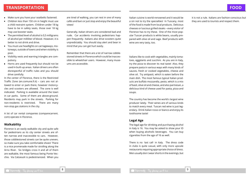# **TRANSPORTATION**

- Make sure you have your seatbelts fastened.
- Children less than 150 cm in height must use a child restraint system. Children under 18 kg have to be in safety seats, those over 18 kg may use booster seats.
- $\blacksquare$  The permitted level of alcohol is 0,5 milligrams of alcohol per milliliter of blood. However, it is better to not drink and drive.
- You must use headlights on carriageways, motorways, outside of towns and when visibility is poor.
- Visibility vests and warning triangles are compulsory.
- Horns are used frequently but should not be used in built-up areas. Italian drivers are often disrespectful of traffic rules and you should drive carefully.

In the center of Florence, there is the Restricted Traffic Zone (en.comune.fi.it) – cars are not allowed to enter or park there, however motorcycles and scooters are allowed. The zone is well indicated. Parking is available around the town in car parks. Some of them are above-ground. Residents may park in the streets. Parking for non-residents is restricted. There are many non-stop gas stations in the city.

A lot of car rental companies (comparecarrent. com) operate in Florence.

# **Walkability**

Florence is an easily walkable city and quite safe for pedestrians as its city center streets are often narrow and inaccessible to cars. However, those cobblestoned streets can be quite uneven, so make sure you take comfortable shoes! There is a nice promenade made for strolling along the Arno River. Six bridges cross it and all of them are walkable, the most famous being Ponte Vecchio. Via Calzaiuoli is pedestrianized. When you

are tired of walking, you can rest in one of many cafés and bars or just stop and enjoy the beautiful views!

Generally, Italian drivers are considered bad and rude. Car accidents involving pedestrians happen frequently. Italians also drive scooters quite unpredictably. You should stay alert and bear in mind that you can get hurt easily.

Remember that there are a lot of narrow cobblestoned streets in Florence which could be inaccessible to wheelchair users. However, many museums are accessible.

Italian cuisine is world-renowned and it would be a sin not to try the specialties! In Tuscany, most of the food is made from local products. Delicious cheeses or luscious grilled steaks – every visitor of Florence has to try these. One of the most popular Tuscan products is white beans, usually prepared with olive oil and sage. Beef products with wine are very tasty, too.

Italians like to cook with vegetables, mainly tomatoes, eggplants and zucchini. As you are in Italy, try the pizza to discover its real taste! Also, they prepare pasta in various ways with many kinds of sauces, fresh or cooked vegetables, cheese and olive oil. Try antipasti, which is eaten before the main dish. The most famous typical Italian products are buffalo mozzarella, pesto, which is a mix of basil, olive oil and cheese, and also parmesan, a delicious kind of cheese used for pasta, pizza and soups.

The country has become the world's largest wine producer lately. Their wines are of various kinds to match every meal. Tuscan red wine is just legendary. Drink Italian rosso or bianco and enjoy its toothsome taste!

# **Legal Age**

The legal age for drinking and purchasing alcohol in Italy is 16. You may be asked to show your ID when buying alcoholic beverages. You can buy cigarettes from the age of 16 as well.

There is no "last call" in Italy. The dress code in clubs is quite casual, with only more upscale restaurants requiring appropriate choice of dress. Men usually don't wear shorts in the evenings, but

8

it is not a rule. Italians are fashion-conscious but they are used to tourists and respect them.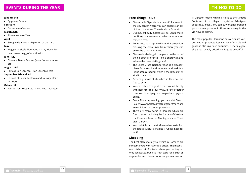#### **January 6th**

**Epiphany Parade** 

# **February**

■ Carnevale – Carnival

# **March 25th**

**Florentine New Year** 

# **April**

Scoppio del Carro – "Explosion of the Cart "

# **May**

Maggio Musicale Fiorentino – "May Music Festival" (www.maggiofiorentino.it)

# **June, July**

**Florence Dance Festival (www.florencedance.** org)

# **August 10th**

Festa di San Lorenzo – San Lorenzo Feast

# **September 8th and 9th**

**Festival of Paper Lanterns and Nativity of Vir**gin Mary

# **October 8th**

Festa di Santa Reparata – Santa Reparata Feast

# **Free Things To Do**

- Piazza della Signoria is a beautiful square in the city center where you can observe an exhibition of statues. There is also a fountain.
- **Duomo, officially Cattedrale de Santa Maria** del Fiore, is a marvelous cathedral where entrance is free.
- **Ponte Vecchio is a prime Florentine attraction.** crossing the Arno River from where you can enjoy the panoramic view.
- Piazzale Michelangelo is a plaza on the top of the hill above Florence. Take a short walk and admire the breathtaking view!
- The Santa Croce Neighborhood is a pleasant place for a stroll and its main landmark is a Franciscan cathedral, which is the largest of its kind in the world!
- Generally, most of churches in Florence are free to enter.
- You can take a free guided tour around the city with Florence Free Tour (www.florencefreetour. com) You do not pay, but can perhaps tip your guide.
- Every Thursday evening, you can visit Strozzi Palace (www.palazzostrozzi.org) for free to see an exhibition of contemporary art.
- There are many parks in Florence which are free to enter, including the Garden of Cascine, the Etruscan Tomb of Montagnola and Torrigiani Garden.
- You certainly must visit Mercato Nuovo to find the large sculpture of a boar, rub his nose for luck!

# **Shopping**

The best places to buy souvenirs in Florence are street markets with favorable prices. The most famous is Mercato Centrale, where you can buy not only keepsakes, but also fresh tasty food, such as vegetables and cheese. Another popular market

11

is Mercato Nuovo, which is close to the famous Ponte Vecchio. It is illegal to buy fakes of designer goods (e.g. bags). You can buy original branded goods in many stores in Florence, mainly in the Via Novella district.

The most popular Florentine souvenirs are various leather products, items made of marble and gold and also luxurious perfumes. Generally, jewelry is reasonably priced and is quite beautiful.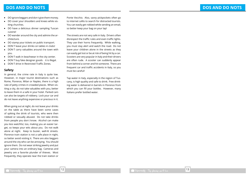# **DOS AND DO NOTS**

- DO ignore beggars and don't give them money.
- DO cover your shoulders and knees while visiting churches.
- DO have a delicious dinner sampling Tuscan cuisine!
- DO wander around the city and admire the architecture.
- DO stamp your tickets on public transport.
- DON<sup>T</sup> leave your drinks on tables in clubs!
- DON<sup>T</sup> carry valuables around the town with you.
- DON<sup>T</sup> walk in beachwear in the city center.
- DON<sup>T</sup> buy fake designer goods it is illegal.
- DON'T drive in Restricted Traffic Zones.

#### **Safety**

In general, the crime rate in Italy is quite low. However, in major tourist destinations such as Rome, Florence, Milan or Naples, there is a high rate of petty crimes in crowded places. When visiting a city, do not take valuables with you, better to leave them in a safe in your hotel. Parked cars can also be targets of robbery. Lock your car and do not leave anything expensive or precious in it.

When going out at night, do not leave your drinks on the table as there have been some cases of spiking the drink of tourists, who were then robbed or sexually abused. Do not take drinks from people you don't know. Alcohol can make you less watchful, too, making you an easier target, so keeps your wits about you. Do not walk alone at night. Keep to busier, well-lit streets. Florence train station is not a safe place in night, so better avoid visiting it. There are also beggars around the city who can be annoying. You should ignore them. Do not wear striking jewelry and put your camera into an ordinary bag. Cameras and jewelry are a favorite plunder of thieves. Most frequently, they operate near the train station or

Ponte Vecchio. Also, savvy pickpockets often go to internet cafés to search for distracted tourists. You can easily get robbed while sending an email, so better keep your bag on your lap!

The streets are not very safe in Italy. Drivers often disrespect the traffic rules and even traffic lights. They use their horns frequently. While walking, you must stay alert and watch the road. Do not leave your children alone in the streets as they can easily get lost or be at risk of being hit by a car. Scooters are very popular in Italy and their drivers are often rude. A scooter can suddenly appear from behind a corner and hit someone. There are frequent car and traffic accidents in Italy, so you must be careful!

Tap water in Italy, especially in the region of Tuscany, is high quality and safe to drink. Free drinking water is delivered in barrels in Florence from which you can fill your bottles. However, many Italians prefer bottled water.

12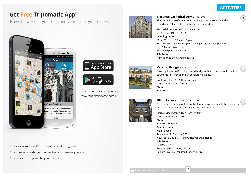**A**

**B**

**C**

# **Get Free Tripomatic App!**

Have the world at your feet, and your trip at your fingers.



- Discover more with on-the-go visual trip guide.
- Find nearby sights and attractions, wherever you are.
- Sync your trip plans to your device.



# **Florence Cathedral Dome** / Duomo

This dome is one of the most incredible places in Florence and boasts a superb view! It is quite a climb, but so very worth it.

Piazza del Duomo, 50122 Florence, Italy GPS: N43.77340, E11.25722 **Opening hours:** Mon – Wed, Fri: 10 a.m. – 5 p.m. Thu: 10 a.m. – between 4 p.m. and 5 p.m. (season dependent) Sat: 10 a.m. – 4:45 p.m. Sun: 1:30 p.m. – 4:45 p.m. **Admission:** Admission to the cathedral is free.



**Available on the App Store** 

**GET IT ON** Google play **Vecchio Bridge** / Ponte Vecchio Crossing the Arno River, this closed bridge with archs is one of the oldest

structures in Florence and an absolute must-see.

Ponte Vecchio, 50125 Florence, Italy GPS: N43.76802, E11.25318 **Phone:** +39 055 292 289



**Uffizi Gallery** / Galleria degli Uffizi No art connoisseur should miss this fantastic collection of Italian paintings and sculptures by Boticelli, da Vinci, Titian or Raphael.

Piazzale degli Uffizi, 50122 Florence, Italy GPS: N43.76851, E11.25579 **Phone:** +39 055 238 86 51 **Opening hours:** Mon: closed Tue – Sun: 8:15 a.m. – 6:50 p.m. New Year's Day, May 1 and Christmas Day: closed **Admission:** Full Price: €11 Reduced (EU students): €3.25 Seniors (over 65), children (under 18): free

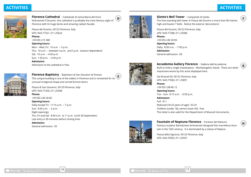**F**

**G**

**H**



**Florence Cathedral** / Cattedrale di Santa Maria del Fiore Nicknamed 'Il Duomo', this cathedral is probably the most famous sight of Florence with its huge dome and amazing radiant facade.

Piazza del Duomo, 50122 Florence, Italy GPS: N43.77321, E11.25623

# **Phone:**

+39 055 215 380

**Opening hours:** Mon – Wed, Fri: 10 a.m. – 5 p.m. Thu: 10 a.m. – between 4 p.m. and 5 p.m. (season dependent) Sat: 10 a.m. – 4:45 p.m. Sun: 1:30 p.m. – 4:45 p.m. **Admission:**

Admission to the cathedral is free.



**Florence Baptistry** / Battistero di San Giovanni di Firenze This unique building is one of the oldest in Florence and is renowned for its

Piazza di San Giovanni, 50129 Florence, Italy GPS: N43.77320, E11.25508 **Phone:** +39 055 230 28 85 **Opening hours:** Daily except Fri: 11:15 a.m. – 7 p.m. Sun: 8:30 a.m. – 2 p.m. Night openings: Thu, Fri and Sat: 8:30 a.m. to 11 p.m. (until 28 September) Last entry is 30 minutes before closing time. **Admission:** General admission: €5

unusual octagonal shape and carved bronze doors.



**D**

**E**

**Giotto's Bell Tower** / Campanile di Giotto The free-standing bell tower in Piazza del Duomo is more than 80 metres high and boasts 7 bells. Notice the exterior decorations!

Piazza del Duomo, 50122 Florence, Italy GPS: N43.77288, E11.25580 **Phone:** +39 055 230 28 85 **Opening hours:** Daily: 8:30 a.m. – 7:30 p.m. **Admission:** General admission: €6



**Accademia Gallery Florence** / Galleria dell'Accademia Built to hold a single masterpiece – Michelangelo's David. There are other impressive works by this artist displayed here.

Via Ricasoli 60, 50122 Florence, Italy GPS: N43.77682, E11.25891 **Phone:** +39 055 238 86 12

**Opening hours:** Tue – Sun: 8:15 a.m. – 6:50 p.m. **Admission:** Full: €11 Reduced (18-25 years of age): €3.25 Children (under 18), seniors (over 65): free The ticket is also valid for the Department of Musical Instruments.



**Fountain of Neptune Florence** / Fontana del Nettuno Famous sculptor Bartolomeo Ammannati designed this marvellous fountain in the 16th century. It is dominated by a statue of Neptun.

Piazza della Signoria, 50122 Florence, Italy GPS: N43.76953, E11.25597

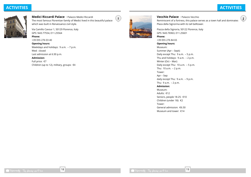**J**



**Medici Riccardi Palace** / Palazzo Medici Riccardi The most famous Florentian family of Medici lived in this beautiful palace which was built in Renaissance civil style.

Via Camillo Cavour 1, 50129 Florence, Italy GPS: N43.77554, E11.25564

+39 055 276 03 40 **Opening hours:** Weekdays and holidays: 9 a.m. – 7 p.m. Wed: closed Last admission at 6:30 p.m.

**Phone:**

**Admission:** Full price: €7 Children (up to 12), military, groups: €4



**I**

**Vecchio Palace** / Palazzo Vecchio Reminiscent of a fortress, this palace serves as a town hall and dominates Plaza della Signorina with its tall belltower. Piazza della Signoria, 50122 Florence, Italy GPS: N43.76963, E11.25601

**Phone:** +39 055 276 84 65 **Opening hours:** Museum: Summer (Apr – Sept): Daily except Thu: 9 a.m. – 5 p.m. Thu and holidays: 9 a.m. – 2 p.m. Winter (Oct – Mar): Daily except Thu: 10 a.m. – 5 p.m. Thu: 10 a.m. – 2 p.m. Tower: Apr – Sep: daily except Thu: 9 a.m. – 9 p.m. Thu: 9 a.m. – 2 p.m. **Admission:** Museum: Adults: €12 Seniors, people 18-25: €10 Children (under 18): €2 Tower: General admission: €6.50 Museum and tower: €14

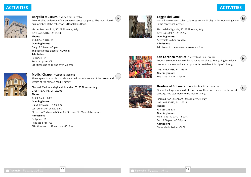**N**

**O**



**Bargello Museum** / Museo del Bargello An unrivalled collection of Italian Renaissance sculpture. The most illustrious member of the collection is Donatello's David.

Via del Proconsolo 4, 50122 Florence, Italy GPS: N43.77014, E11.25836

#### **Phone:** +39 (0)55 238 86 06

**Opening hours:** Daily: 8.15 a.m. – 5 p.m. The ticket office closes at 4:20 p.m. **Admission:**

Full price: €4 Reduced price: €2 EU citizens up to 18 and over 65: free



**Medici Chapel** / Cappelle Medicee These splendid marble chapels were built as a showcase of the power and wealth of the famous Medici family.

Piazza di Madonna degli Aldobrandini, 50123 Florence, Italy GPS: N43.77478, E11.25306 **Phone:** +39 055 238 86 02 **Opening hours:** Daily: 8:15 a.m. – 1:50 p.m. Last admission at 1:20 p.m. Closed on 2nd and 4th Sun; 1st, 3rd and 5th Mon of the month. **Admission:** Full price: €6 Reduced price: €3 EU citizens up to 18 and over 65: free



**K**

# **Loggia dei Lanzi**

World-known spectacular sculptures are on display in this open-air gallery in the centre of Florence. **M**

Piazza della Signoria, 50122 Florence, Italy GPS: N43.76931, E11.25565 **Opening hours:** Accessible 24 hours a day. **Admission:** Admission to the open-air museum is free.



**San Lorenzo Market** / Mercato di San Lorenzo Popular street market with laid-back atmosphere. Everything from local produce to shoes and leather products. Watch out for rip-offs though.

GPS: N43.77655, E11.25331 **Opening hours:** Tue – Sat: 9 a.m. – 7 p.m.



**Basilica of St Lawrence** / Basilica di San Lorenzo One of the largest and oldest churches of Florence, founded in the late 4th century. The testimony to the Medici family.

Piazza di San Lorenzo 9, 50123 Florence, Italy GPS: N43.77495, E11.25511 **Phone:** +39 055 216 634 **Opening hours:** Mon – Sat: 10 a.m. – 5 p.m. Sun: 1:30 p.m. – 5:30 p.m. **Admission:** General admission: €4.50



**L**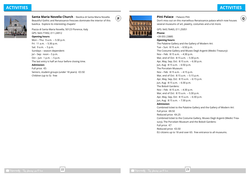**Q**



**Santa Maria Novella Church** / Basilica di Santa Maria Novella Beautiful Gothic and Renaissance frescoes dominate the interior of this basilica. Explore its interesting chapels!

Piazza di Santa Maria Novella, 50123 Florence, Italy GPS: N43.77492, E11.24912

# **Opening hours:**

Mon – Thu: 9 a.m. – 5:30 p.m. Fri: 11 a.m. – 5:30 p.m. Sat: 9 a.m. – 5 p.m. Sundays – season dependent: Jul – Sep: noon – 5 p.m. Oct – Jun: 1 p.m. – 5 p.m. The last entry is half an hour before closing time. **Admission:** Full price: €5 Seniors, student groups (under 18 years): €3.50 Children (up to 5): free



**P**

# **Pitti Palace** / Palazzo Pitti

Don't miss out on this marvellous Renaissance palace which now houses several museums of art, jewelry, costumes and a lot more.

GPS: N43.76465, E11.25051

# +39 055 23885

**Phone:**

**Opening hours:** The Palatine Gallery and the Gallery of Modern Art: Tue – Sun: 8:15 a.m. – 6:50 p.m. The Costume Gallery and Museo Degli Argenti (Medici Treasury): Nov – Feb: 8:15 a.m. – 4:30 p.m. Mar, end of Oct: 8:15 a.m. – 5:30 p.m. Apr, May, Sep, Oct: 8:15 a.m. – 6:30 p.m. Jun, Aug: 8:15 a.m. – 6:50 p.m. The Porcelain Museum: Nov – Feb: 8:15 a.m. – 4:15 p.m. Mar, end of Oct: 8:15 a.m. – 5:15 p.m. Apr, May, Sep, Oct: 8:15 a.m. – 6:15 p.m. Jun, Aug: 8:15 a.m. – 6:30 p.m. The Boboli Gardens: Nov – Feb: 8:15 a.m. – 4:30 p.m. Mar, end of Oct: 8:15 a.m. – 5:30 p.m. Apr, May, Sep, Oct: 8:15 a.m. – 6:30 p.m. Jun, Aug: 8:15 a.m. – 7:30 p.m. **Admission:** Combined ticket to the Palatine Gallery and the Gallery of Modern Art: Full price: €8.50 Reduced price: €4.25 Combined ticket to the Costume Gallery, Museo Degli Argenti (Medici Treasury), The Porcelain Museum and the Boboli Gardens: Full price: €7 Reduced price: €3.50 EU citizens up to 18 and over 65: free entrance to all museums.

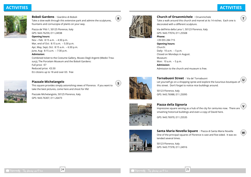**T**



**Boboli Gardens** / Giardino di Boboli Take a slow walk through this extensive park and admire the sculptures, fountains and cornucopia of plants on your way.

Piazza de' Pitti 1, 50125 Florence, Italy GPS: N43.76259, E11.24938

#### **Opening hours:**

Nov – Feb: 8:15 a.m. – 4:30 p.m. Mar, end of Oct: 8:15 a.m. – 5:30 p.m. Apr, May, Sept, Oct: 8:15 a.m. – 6:30 p.m. June, Aug: 8:15 a.m. – 7:30 p.m.

#### **Admission:**

Combined ticket to the Costume Gallery, Museo Degli Argenti (Medici Treasury), The Porcelain Museum and the Boboli Gardens: Full price: €7 Reduced price: €3.50 EU citizens up to 18 and over 65: free

# **Piazzale Michelangelo**

This square provides simply astonishing views of Florence. If you want to take the best pictures, come here and shoot for life!

Piazzale Michelangiolo, 50125 Florence, Italy GPS: N43.76307, E11.26473



**R**

**S**

# **Church of Orsanmichele** / Orsanmichele

Take a walk around this church and marvel at its 14 niches. Each one is decorated with a different sculpture.

Via dell'Arte della Lana 1, 50123 Florence, Italy GPS: N43.77074, E11.25508 **Phone:** +39 055 284 715 **Opening hours:** Church: Daily: 10 a.m. – 5 p.m. Closed on Mondays in August. Museum: Mon: 10 a.m. – 5 p.m. **Admission:** Admission to the church and museum is free.

# **Tornabuoni Street** / Via de' Tornabuoni

Let yourself go on a shopping spree and explore the luxurious boutiques of this street. Don't forget to notice nice buildings around. **U**

50123 Florence, Italy GPS: N43.76988, E11.25095

# **Piazza della Signoria**

Impressive square serving as a hub of the city for centuries now. There are smashing historical buildings and even a copy of David here. **V**

GPS: N43.76970, E11.25535



**Santa Maria Novella Square** / Piazza di Santa Maria Novella One of the principal squares of Florence is vast and five-sided. It was extended several times.

50123 Florence, Italy GPS: N43.77378, E11.24916





**W**